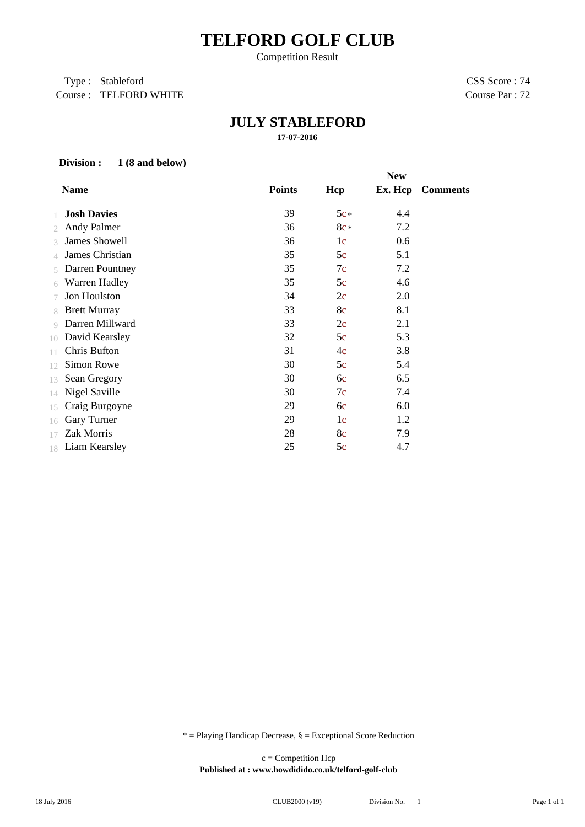# **TELFORD GOLF CLUB**

Competition Result

### Type : Stableford Course : TELFORD WHITE

CSS Score : 74 Course Par : 72

## **JULY STABLEFORD**

**17-07-2016**

#### **Division : 1 (8 and below)**

| <b>Points</b><br><b>Name</b><br><b>Ex. Hcp</b> Comments<br>Hcp |
|----------------------------------------------------------------|
|                                                                |
| 39<br>$5c*$<br><b>Josh Davies</b><br>4.4                       |
| <b>Andy Palmer</b><br>36<br>7.2<br>$8c*$<br>$\mathfrak{2}$     |
| <b>James Showell</b><br>36<br>0.6<br>1c<br>3                   |
| James Christian<br>35<br>5.1<br>5c<br>4                        |
| 35<br>7c<br>7.2<br><b>Darren Pountney</b><br>5                 |
| 35<br>Warren Hadley<br>4.6<br>5c<br>6                          |
| Jon Houlston<br>34<br>2.0<br>2c<br>7                           |
| 33<br><b>Brett Murray</b><br>8.1<br>8c<br>8                    |
| Darren Millward<br>33<br>2c<br>2.1<br>$\circ$                  |
| 32<br>5c<br>5.3<br>David Kearsley<br>10                        |
| Chris Bufton<br>31<br>4c<br>3.8<br>11                          |
| Simon Rowe<br>30<br>5c<br>5.4<br>12                            |
| 30<br>6.5<br>Sean Gregory<br>6c<br>13                          |
| 30<br>Nigel Saville<br>7c<br>7.4<br>14                         |
| 29<br>6.0<br>Craig Burgoyne<br>6c<br>15                        |
| 29<br>Gary Turner<br>1 <sub>c</sub><br>1.2<br>16               |
| Zak Morris<br>28<br>8c<br>7.9<br>17                            |
| 25<br>5c<br>4.7<br>18 Liam Kearsley                            |

 $*$  = Playing Handicap Decrease,  $\S$  = Exceptional Score Reduction

**Published at : www.howdidido.co.uk/telford-golf-club** c = Competition Hcp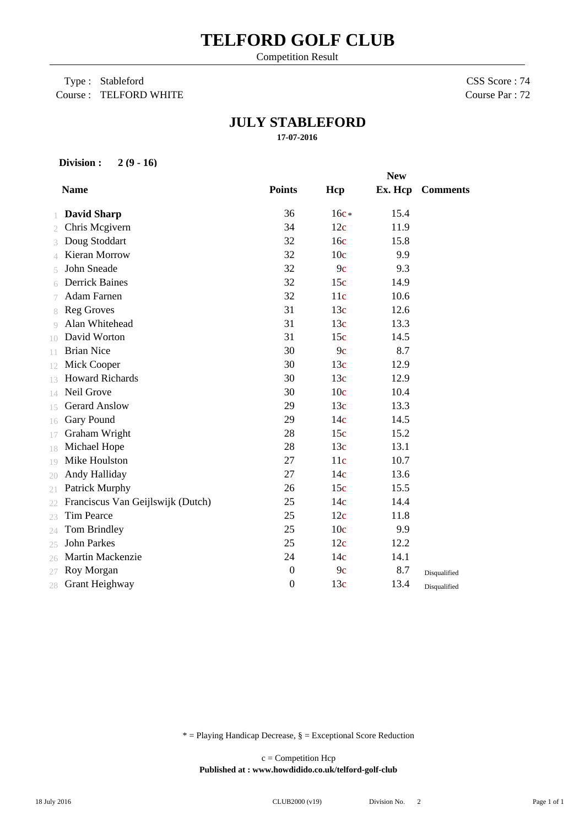# **TELFORD GOLF CLUB**

Competition Result

 Type : Stableford Course : TELFORD WHITE CSS Score : 74 Course Par : 72

## **JULY STABLEFORD**

**17-07-2016**

#### **Division : 2 (9 - 16)**

|    |                                   | <b>New</b>       |                 |         |                 |
|----|-----------------------------------|------------------|-----------------|---------|-----------------|
|    | <b>Name</b>                       | <b>Points</b>    | Hcp             | Ex. Hcp | <b>Comments</b> |
|    | <b>David Sharp</b>                | 36               | $16c*$          | 15.4    |                 |
| 2  | Chris Mcgivern                    | 34               | 12c             | 11.9    |                 |
|    | Doug Stoddart                     | 32               | 16c             | 15.8    |                 |
| 4  | <b>Kieran Morrow</b>              | 32               | 10 <sub>c</sub> | 9.9     |                 |
|    | John Sneade                       | 32               | 9c              | 9.3     |                 |
| 6  | <b>Derrick Baines</b>             | 32               | 15c             | 14.9    |                 |
|    | <b>Adam Farnen</b>                | 32               | 11c             | 10.6    |                 |
| 8  | <b>Reg Groves</b>                 | 31               | 13c             | 12.6    |                 |
| 9  | Alan Whitehead                    | 31               | 13c             | 13.3    |                 |
| 10 | David Worton                      | 31               | 15c             | 14.5    |                 |
| 11 | <b>Brian Nice</b>                 | 30               | 9c              | 8.7     |                 |
| 12 | Mick Cooper                       | 30               | 13c             | 12.9    |                 |
| 13 | <b>Howard Richards</b>            | 30               | 13c             | 12.9    |                 |
| 14 | Neil Grove                        | 30               | 10 <sub>c</sub> | 10.4    |                 |
| 15 | <b>Gerard Anslow</b>              | 29               | 13c             | 13.3    |                 |
| 16 | <b>Gary Pound</b>                 | 29               | 14c             | 14.5    |                 |
| 17 | Graham Wright                     | 28               | 15c             | 15.2    |                 |
| 18 | Michael Hope                      | 28               | 13c             | 13.1    |                 |
| 19 | Mike Houlston                     | 27               | 11c             | 10.7    |                 |
| 20 | Andy Halliday                     | 27               | 14c             | 13.6    |                 |
| 21 | Patrick Murphy                    | 26               | 15c             | 15.5    |                 |
| 22 | Franciscus Van Geijlswijk (Dutch) | 25               | 14c             | 14.4    |                 |
| 23 | <b>Tim Pearce</b>                 | 25               | 12c             | 11.8    |                 |
| 24 | Tom Brindley                      | 25               | 10 <sub>c</sub> | 9.9     |                 |
| 25 | <b>John Parkes</b>                | 25               | 12c             | 12.2    |                 |
| 26 | Martin Mackenzie                  | 24               | 14c             | 14.1    |                 |
| 27 | Roy Morgan                        | $\boldsymbol{0}$ | 9c              | 8.7     | Disqualified    |
| 28 | Grant Heighway                    | $\boldsymbol{0}$ | 13c             | 13.4    | Disqualified    |

 $*$  = Playing Handicap Decrease,  $\S$  = Exceptional Score Reduction

**Published at : www.howdidido.co.uk/telford-golf-club** c = Competition Hcp